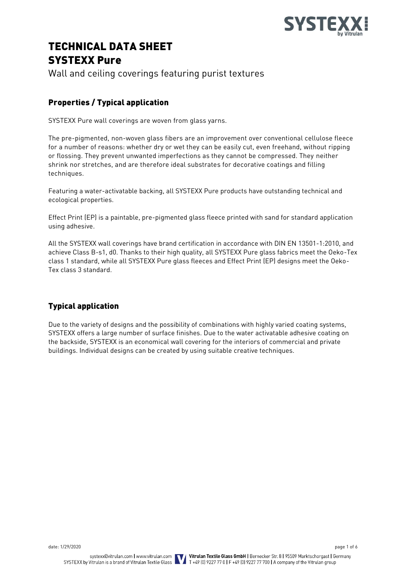

# TECHNICAL DATA SHEET SYSTEXX Pure

Wall and ceiling coverings featuring purist textures

# Properties / Typical application

SYSTEXX Pure wall coverings are woven from glass yarns.

The pre-pigmented, non-woven glass fibers are an improvement over conventional cellulose fleece for a number of reasons: whether dry or wet they can be easily cut, even freehand, without ripping or flossing. They prevent unwanted imperfections as they cannot be compressed. They neither shrink nor stretches, and are therefore ideal substrates for decorative coatings and filling techniques.

Featuring a water-activatable backing, all SYSTEXX Pure products have outstanding technical and ecological properties.

Effect Print (EP) is a paintable, pre-pigmented glass fleece printed with sand for standard application using adhesive.

All the SYSTEXX wall coverings have brand certification in accordance with DIN EN 13501-1:2010, and achieve Class B-s1, d0. Thanks to their high quality, all SYSTEXX Pure glass fabrics meet the Oeko-Tex class 1 standard, while all SYSTEXX Pure glass fleeces and Effect Print (EP) designs meet the Oeko-Tex class 3 standard.

# Typical application

Due to the variety of designs and the possibility of combinations with highly varied coating systems, SYSTEXX offers a large number of surface finishes. Due to the water activatable adhesive coating on the backside, SYSTEXX is an economical wall covering for the interiors of commercial and private buildings. Individual designs can be created by using suitable creative techniques.

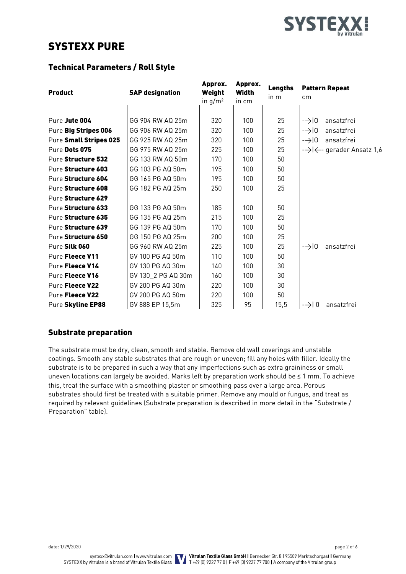

# SYSTEXX PURE

## Technical Parameters / Roll Style

| <b>Product</b>         | <b>SAP designation</b> | Approx.<br>Weight<br>in $g/m^2$ | Approx.<br><b>Width</b><br>in cm | Lengths<br>in m | <b>Pattern Repeat</b><br>cm             |
|------------------------|------------------------|---------------------------------|----------------------------------|-----------------|-----------------------------------------|
|                        |                        |                                 |                                  |                 |                                         |
| Pure Jute 004          | GG 904 RW AQ 25m       | 320                             | 100                              | 25              | ansatzfrei<br>$\rightarrow$ 0           |
| Pure Big Stripes 006   | GG 906 RW AQ 25m       | 320                             | 100                              | 25              | $\rightarrow$ $\mid$ 0<br>ansatzfrei    |
| Pure Small Stripes 025 | GG 925 RW AQ 25m       | 320                             | 100                              | 25              | $\rightarrow$ 0<br>ansatzfrei           |
| Pure Dots 075          | GG 975 RW AQ 25m       | 225                             | 100                              | 25              | -→ $\leftrightarrow$ gerader Ansatz 1,6 |
| Pure Structure 532     | GG 133 RW AQ 50m       | 170                             | 100                              | 50              |                                         |
| Pure Structure 603     | GG 103 PG AQ 50m       | 195                             | 100                              | 50              |                                         |
| Pure Structure 604     | GG 165 PG AQ 50m       | 195                             | 100                              | 50              |                                         |
| Pure Structure 608     | GG 182 PG AQ 25m       | 250                             | 100                              | 25              |                                         |
| Pure Structure 629     |                        |                                 |                                  |                 |                                         |
| Pure Structure 633     | GG 133 PG AQ 50m       | 185                             | 100                              | 50              |                                         |
| Pure Structure 635     | GG 135 PG AQ 25m       | 215                             | 100                              | 25              |                                         |
| Pure Structure 639     | GG 139 PG AQ 50m       | 170                             | 100                              | 50              |                                         |
| Pure Structure 650     | GG 150 PG AQ 25m       | 200                             | 100                              | 25              |                                         |
| Pure Silk 060          | GG 960 RW AQ 25m       | 225                             | 100                              | 25              | $\rightarrow 0$<br>ansatzfrei           |
| Pure Fleece V11        | GV 100 PG AQ 50m       | 110                             | 100                              | 50              |                                         |
| Pure Fleece V14        | GV 130 PG AQ 30m       | 140                             | 100                              | 30              |                                         |
| Pure Fleece V16        | GV 130 2 PG AQ 30m     | 160                             | 100                              | 30              |                                         |
| Pure Fleece V22        | GV 200 PG AQ 30m       | 220                             | 100                              | 30              |                                         |
| Pure Fleece V22        | GV 200 PG AQ 50m       | 220                             | 100                              | 50              |                                         |
| Pure Skyline EP88      | GV 888 EP 15,5m        | 325                             | 95                               | 15,5            | $\rightarrow$ 0<br>ansatzfrei           |

## Substrate preparation

The substrate must be dry, clean, smooth and stable. Remove old wall coverings and unstable coatings. Smooth any stable substrates that are rough or uneven; fill any holes with filler. Ideally the substrate is to be prepared in such a way that any imperfections such as extra graininess or small uneven locations can largely be avoided. Marks left by preparation work should be ≤ 1 mm. To achieve this, treat the surface with a smoothing plaster or smoothing pass over a large area. Porous substrates should first be treated with a suitable primer. Remove any mould or fungus, and treat as required by relevant guidelines (Substrate preparation is described in more detail in the "Substrate / Preparation" table).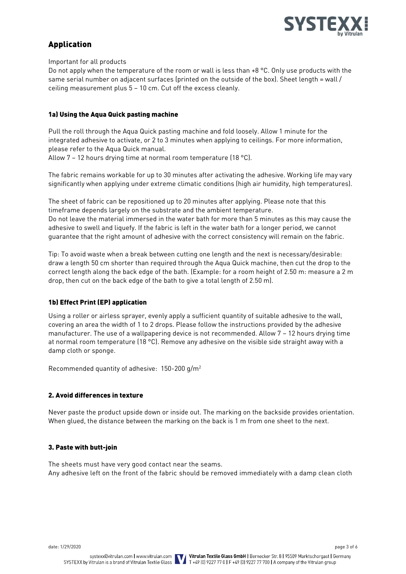

# Application

Important for all products

Do not apply when the temperature of the room or wall is less than +8 °C. Only use products with the same serial number on adjacent surfaces (printed on the outside of the box). Sheet length = wall / ceiling measurement plus 5 – 10 cm. Cut off the excess cleanly.

#### 1a) Using the Aqua Quick pasting machine

Pull the roll through the Aqua Quick pasting machine and fold loosely. Allow 1 minute for the integrated adhesive to activate, or 2 to 3 minutes when applying to ceilings. For more information, please refer to the Aqua Quick manual.

Allow 7 – 12 hours drying time at normal room temperature (18 °C).

The fabric remains workable for up to 30 minutes after activating the adhesive. Working life may vary significantly when applying under extreme climatic conditions (high air humidity, high temperatures).

The sheet of fabric can be repositioned up to 20 minutes after applying. Please note that this timeframe depends largely on the substrate and the ambient temperature. Do not leave the material immersed in the water bath for more than 5 minutes as this may cause the adhesive to swell and liquefy. If the fabric is left in the water bath for a longer period, we cannot guarantee that the right amount of adhesive with the correct consistency will remain on the fabric.

Tip: To avoid waste when a break between cutting one length and the next is necessary/desirable: draw a length 50 cm shorter than required through the Aqua Quick machine, then cut the drop to the correct length along the back edge of the bath. (Example: for a room height of 2.50 m: measure a 2 m drop, then cut on the back edge of the bath to give a total length of 2.50 m).

### 1b) Effect Print (EP) application

Using a roller or airless sprayer, evenly apply a sufficient quantity of suitable adhesive to the wall, covering an area the width of 1 to 2 drops. Please follow the instructions provided by the adhesive manufacturer. The use of a wallpapering device is not recommended. Allow 7 – 12 hours drying time at normal room temperature (18 °C). Remove any adhesive on the visible side straight away with a damp cloth or sponge.

Recommended quantity of adhesive: 150-200 g/m<sup>2</sup>

#### 2. Avoid differences in texture

Never paste the product upside down or inside out. The marking on the backside provides orientation. When glued, the distance between the marking on the back is 1 m from one sheet to the next.

#### 3. Paste with butt-join

The sheets must have very good contact near the seams. Any adhesive left on the front of the fabric should be removed immediately with a damp clean cloth

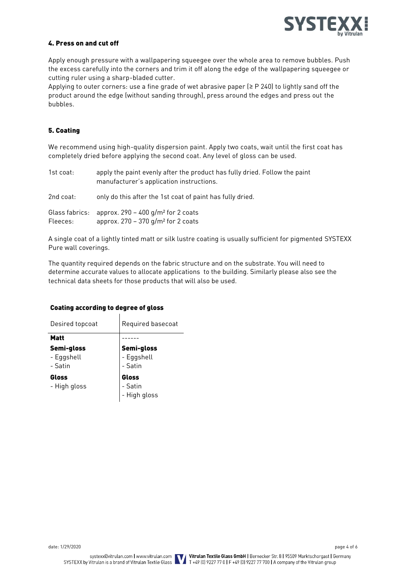

#### 4. Press on and cut off

Apply enough pressure with a wallpapering squeegee over the whole area to remove bubbles. Push the excess carefully into the corners and trim it off along the edge of the wallpapering squeegee or cutting ruler using a sharp-bladed cutter.

Applying to outer corners: use a fine grade of wet abrasive paper (≥ P 240) to lightly sand off the product around the edge (without sanding through), press around the edges and press out the bubbles.

#### 5. Coating

We recommend using high-quality dispersion paint. Apply two coats, wait until the first coat has completely dried before applying the second coat. Any level of gloss can be used.

| 1st coat: | apply the paint evenly after the product has fully dried. Follow the paint<br>manufacturer's application instructions. |
|-----------|------------------------------------------------------------------------------------------------------------------------|
| 2nd coat: | only do this after the 1st coat of paint has fully dried.                                                              |
| Fleeces:  | Glass fabrics: approx. $290 - 400$ g/m <sup>2</sup> for 2 coats<br>approx. $270 - 370$ g/m <sup>2</sup> for 2 coats    |

A single coat of a lightly tinted matt or silk lustre coating is usually sufficient for pigmented SYSTEXX Pure wall coverings.

The quantity required depends on the fabric structure and on the substrate. You will need to determine accurate values to allocate applications to the building. Similarly please also see the technical data sheets for those products that will also be used.

| Desired topcoat                     | Required basecoat                   |  |  |
|-------------------------------------|-------------------------------------|--|--|
| <b>Matt</b>                         |                                     |  |  |
| Semi-gloss<br>- Eggshell<br>- Satin | Semi-gloss<br>- Eggshell<br>- Satin |  |  |
| Gloss<br>- High gloss               | Gloss<br>- Satin<br>- High gloss    |  |  |

 $\mathbf{I}$ 

#### Coating according to degree of gloss

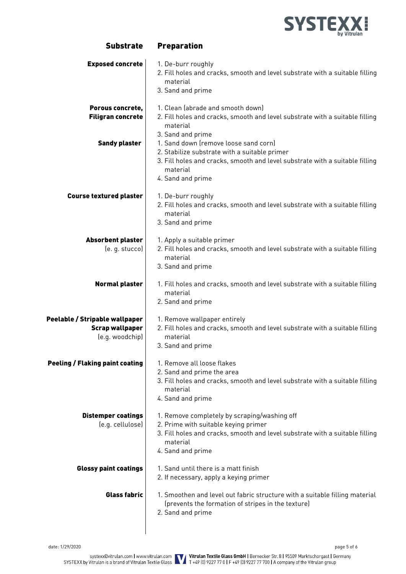

| <b>Exposed concrete</b>                                                     | 1. De-burr roughly<br>2. Fill holes and cracks, smooth and level substrate with a suitable filling<br>material<br>3. Sand and prime                                                                                                                                                                                                                           |
|-----------------------------------------------------------------------------|---------------------------------------------------------------------------------------------------------------------------------------------------------------------------------------------------------------------------------------------------------------------------------------------------------------------------------------------------------------|
| Porous concrete,<br><b>Filigran concrete</b><br><b>Sandy plaster</b>        | 1. Clean (abrade and smooth down)<br>2. Fill holes and cracks, smooth and level substrate with a suitable filling<br>material<br>3. Sand and prime<br>1. Sand down (remove loose sand corn)<br>2. Stabilize substrate with a suitable primer<br>3. Fill holes and cracks, smooth and level substrate with a suitable filling<br>material<br>4. Sand and prime |
| <b>Course textured plaster</b>                                              | 1. De-burr roughly<br>2. Fill holes and cracks, smooth and level substrate with a suitable filling<br>material<br>3. Sand and prime                                                                                                                                                                                                                           |
| <b>Absorbent plaster</b><br>(e. g. stucco)                                  | 1. Apply a suitable primer<br>2. Fill holes and cracks, smooth and level substrate with a suitable filling<br>material<br>3. Sand and prime                                                                                                                                                                                                                   |
| <b>Normal plaster</b>                                                       | 1. Fill holes and cracks, smooth and level substrate with a suitable filling<br>material<br>2. Sand and prime                                                                                                                                                                                                                                                 |
| Peelable / Stripable wallpaper<br><b>Scrap wallpaper</b><br>(e.g. woodchip) | 1. Remove wallpaper entirely<br>2. Fill holes and cracks, smooth and level substrate with a suitable filling<br>material<br>3. Sand and prime                                                                                                                                                                                                                 |
| <b>Peeling / Flaking paint coating</b>                                      | 1. Remove all loose flakes<br>2. Sand and prime the area<br>3. Fill holes and cracks, smooth and level substrate with a suitable filling<br>material<br>4. Sand and prime                                                                                                                                                                                     |
| <b>Distemper coatings</b><br>(e.g. cellulose)                               | 1. Remove completely by scraping/washing off<br>2. Prime with suitable keying primer<br>3. Fill holes and cracks, smooth and level substrate with a suitable filling<br>material<br>4. Sand and prime                                                                                                                                                         |
| <b>Glossy paint coatings</b>                                                | 1. Sand until there is a matt finish<br>2. If necessary, apply a keying primer                                                                                                                                                                                                                                                                                |
| <b>Glass fabric</b>                                                         | 1. Smoothen and level out fabric structure with a suitable filling material<br>(prevents the formation of stripes in the texture)<br>2. Sand and prime                                                                                                                                                                                                        |

Substrate Preparation